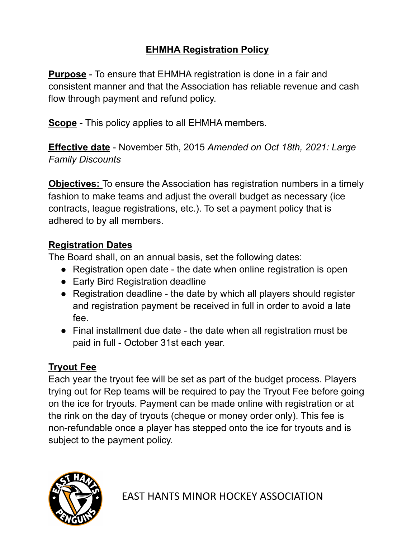## **EHMHA Registration Policy**

**Purpose** - To ensure that EHMHA registration is done in a fair and consistent manner and that the Association has reliable revenue and cash flow through payment and refund policy.

**Scope** - This policy applies to all EHMHA members.

**Effective date** - November 5th, 2015 *Amended on Oct 18th, 2021: Large Family Discounts*

**Objectives:** To ensure the Association has registration numbers in a timely fashion to make teams and adjust the overall budget as necessary (ice contracts, league registrations, etc.). To set a payment policy that is adhered to by all members.

### **Registration Dates**

The Board shall, on an annual basis, set the following dates:

- Registration open date the date when online registration is open
- Early Bird Registration deadline
- Registration deadline the date by which all players should register and registration payment be received in full in order to avoid a late fee.
- Final installment due date the date when all registration must be paid in full - October 31st each year.

# **Tryout Fee**

Each year the tryout fee will be set as part of the budget process. Players trying out for Rep teams will be required to pay the Tryout Fee before going on the ice for tryouts. Payment can be made online with registration or at the rink on the day of tryouts (cheque or money order only). This fee is non-refundable once a player has stepped onto the ice for tryouts and is subject to the payment policy.

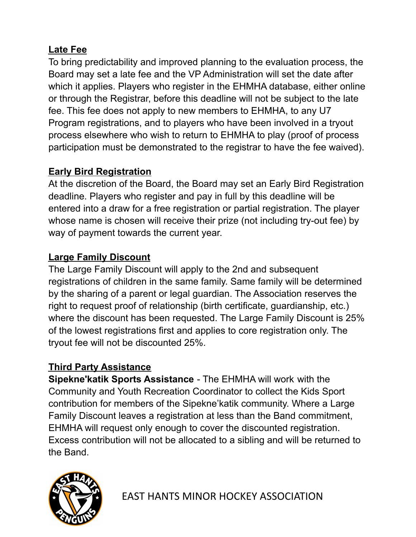### **Late Fee**

To bring predictability and improved planning to the evaluation process, the Board may set a late fee and the VP Administration will set the date after which it applies. Players who register in the EHMHA database, either online or through the Registrar, before this deadline will not be subject to the late fee. This fee does not apply to new members to EHMHA, to any U7 Program registrations, and to players who have been involved in a tryout process elsewhere who wish to return to EHMHA to play (proof of process participation must be demonstrated to the registrar to have the fee waived).

#### **Early Bird Registration**

At the discretion of the Board, the Board may set an Early Bird Registration deadline. Players who register and pay in full by this deadline will be entered into a draw for a free registration or partial registration. The player whose name is chosen will receive their prize (not including try-out fee) by way of payment towards the current year.

#### **Large Family Discount**

The Large Family Discount will apply to the 2nd and subsequent registrations of children in the same family. Same family will be determined by the sharing of a parent or legal guardian. The Association reserves the right to request proof of relationship (birth certificate, guardianship, etc.) where the discount has been requested. The Large Family Discount is 25% of the lowest registrations first and applies to core registration only. The tryout fee will not be discounted 25%.

### **Third Party Assistance**

**Sipekne'katik Sports Assistance** - The EHMHA will work with the Community and Youth Recreation Coordinator to collect the Kids Sport contribution for members of the Sipekne'katik community. Where a Large Family Discount leaves a registration at less than the Band commitment, EHMHA will request only enough to cover the discounted registration. Excess contribution will not be allocated to a sibling and will be returned to the Band.



EAST HANTS MINOR HOCKEY ASSOCIATION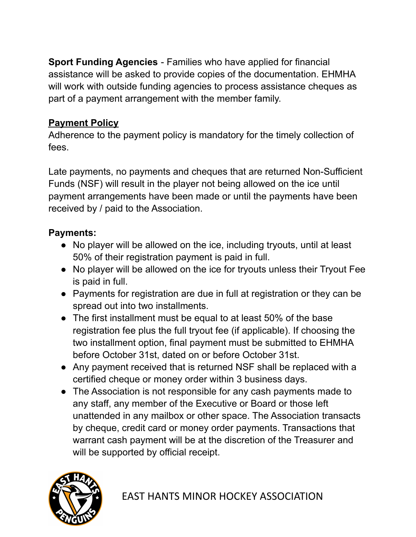**Sport Funding Agencies** - Families who have applied for financial assistance will be asked to provide copies of the documentation. EHMHA will work with outside funding agencies to process assistance cheques as part of a payment arrangement with the member family.

### **Payment Policy**

Adherence to the payment policy is mandatory for the timely collection of fees.

Late payments, no payments and cheques that are returned Non-Sufficient Funds (NSF) will result in the player not being allowed on the ice until payment arrangements have been made or until the payments have been received by / paid to the Association.

### **Payments:**

- No player will be allowed on the ice, including tryouts, until at least 50% of their registration payment is paid in full.
- No player will be allowed on the ice for tryouts unless their Tryout Fee is paid in full.
- Payments for registration are due in full at registration or they can be spread out into two installments.
- The first installment must be equal to at least 50% of the base registration fee plus the full tryout fee (if applicable). If choosing the two installment option, final payment must be submitted to EHMHA before October 31st, dated on or before October 31st.
- Any payment received that is returned NSF shall be replaced with a certified cheque or money order within 3 business days.
- The Association is not responsible for any cash payments made to any staff, any member of the Executive or Board or those left unattended in any mailbox or other space. The Association transacts by cheque, credit card or money order payments. Transactions that warrant cash payment will be at the discretion of the Treasurer and will be supported by official receipt.